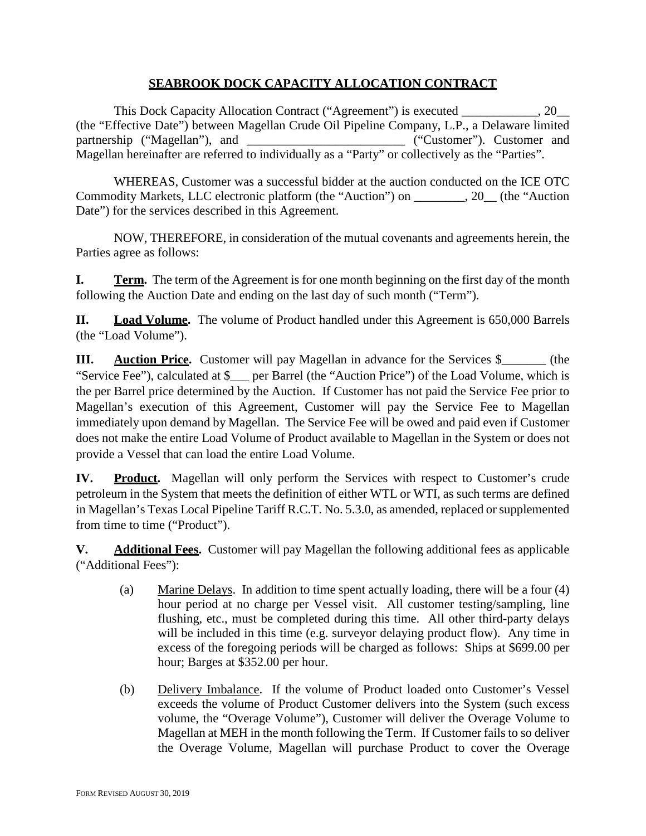# **SEABROOK DOCK CAPACITY ALLOCATION CONTRACT**

This Dock Capacity Allocation Contract ("Agreement") is executed . 20 (the "Effective Date") between Magellan Crude Oil Pipeline Company, L.P., a Delaware limited partnership ("Magellan"), and \_\_\_\_\_\_\_\_\_\_\_\_\_\_\_\_\_\_\_\_\_\_\_\_\_\_\_\_ ("Customer"). Customer and Magellan hereinafter are referred to individually as a "Party" or collectively as the "Parties".

WHEREAS, Customer was a successful bidder at the auction conducted on the ICE OTC Commodity Markets, LLC electronic platform (the "Auction") on \_\_\_\_\_\_\_\_, 20\_\_ (the "Auction Date") for the services described in this Agreement.

NOW, THEREFORE, in consideration of the mutual covenants and agreements herein, the Parties agree as follows:

**I. Term.** The term of the Agreement is for one month beginning on the first day of the month following the Auction Date and ending on the last day of such month ("Term").

**II. Load Volume.** The volume of Product handled under this Agreement is 650,000 Barrels (the "Load Volume").

**III. Auction Price.** Customer will pay Magellan in advance for the Services \$\_\_\_\_\_\_\_ (the "Service Fee"), calculated at \$\_\_\_ per Barrel (the "Auction Price") of the Load Volume, which is the per Barrel price determined by the Auction. If Customer has not paid the Service Fee prior to Magellan's execution of this Agreement, Customer will pay the Service Fee to Magellan immediately upon demand by Magellan. The Service Fee will be owed and paid even if Customer does not make the entire Load Volume of Product available to Magellan in the System or does not provide a Vessel that can load the entire Load Volume.

<span id="page-0-0"></span>**IV. Product.** Magellan will only perform the Services with respect to Customer's crude petroleum in the System that meets the definition of either WTL or WTI, as such terms are defined in Magellan's Texas Local Pipeline Tariff R.C.T. No. 5.3.0, as amended, replaced or supplemented from time to time ("Product").

**V. Additional Fees.** Customer will pay Magellan the following additional fees as applicable ("Additional Fees"):

- (a) Marine Delays. In addition to time spent actually loading, there will be a four (4) hour period at no charge per Vessel visit. All customer testing/sampling, line flushing, etc., must be completed during this time. All other third-party delays will be included in this time (e.g. surveyor delaying product flow). Any time in excess of the foregoing periods will be charged as follows: Ships at \$699.00 per hour; Barges at \$352.00 per hour.
- (b) Delivery Imbalance. If the volume of Product loaded onto Customer's Vessel exceeds the volume of Product Customer delivers into the System (such excess volume, the "Overage Volume"), Customer will deliver the Overage Volume to Magellan at MEH in the month following the Term. If Customer fails to so deliver the Overage Volume, Magellan will purchase Product to cover the Overage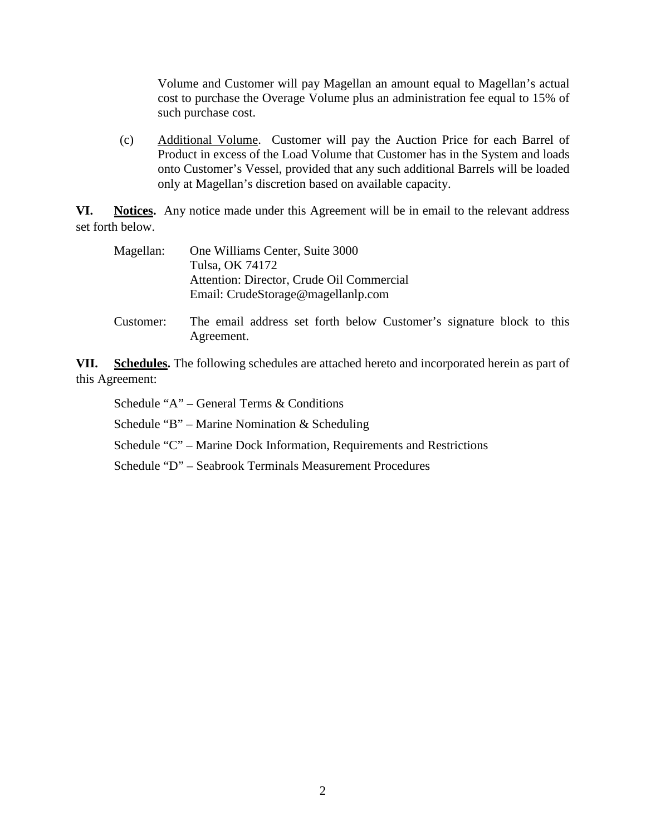Volume and Customer will pay Magellan an amount equal to Magellan's actual cost to purchase the Overage Volume plus an administration fee equal to 15% of such purchase cost.

(c) Additional Volume. Customer will pay the Auction Price for each Barrel of Product in excess of the Load Volume that Customer has in the System and loads onto Customer's Vessel, provided that any such additional Barrels will be loaded only at Magellan's discretion based on available capacity.

**VI. Notices.** Any notice made under this Agreement will be in email to the relevant address set forth below.

| Magellan:                          | One Williams Center, Suite 3000                                                    |  |  |  |
|------------------------------------|------------------------------------------------------------------------------------|--|--|--|
|                                    | Tulsa, OK 74172                                                                    |  |  |  |
|                                    | Attention: Director, Crude Oil Commercial                                          |  |  |  |
| Email: CrudeStorage@magellanlp.com |                                                                                    |  |  |  |
| Customer:                          | The email address set forth below Customer's signature block to this<br>Agreement. |  |  |  |

**VII. Schedules.** The following schedules are attached hereto and incorporated herein as part of this Agreement:

Schedule "A" – General Terms & Conditions

Schedule "B" – Marine Nomination & Scheduling

Schedule "C" – Marine Dock Information, Requirements and Restrictions

Schedule "D" – Seabrook Terminals Measurement Procedures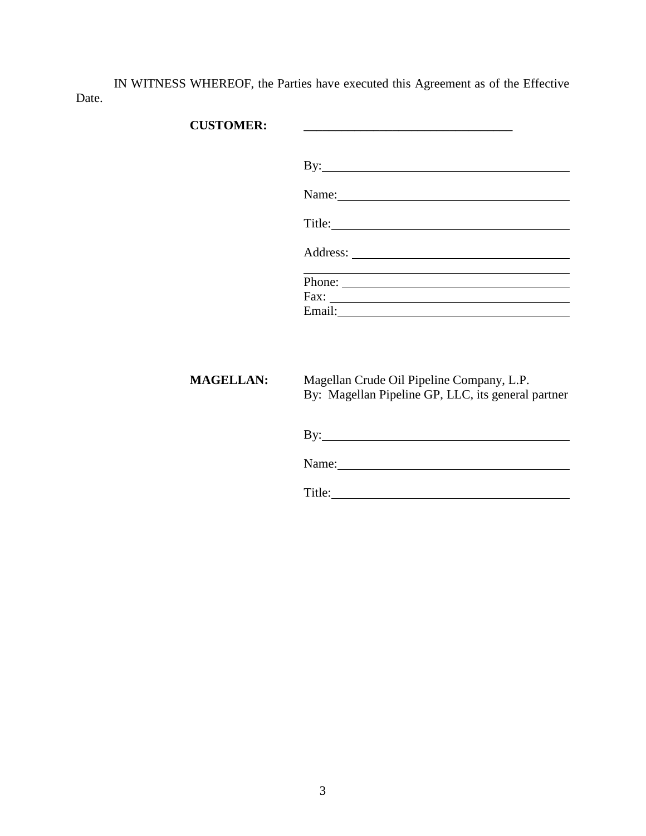IN WITNESS WHEREOF, the Parties have executed this Agreement as of the Effective Date.

# **CUSTOMER: \_\_\_\_\_\_\_\_\_\_\_\_\_\_\_\_\_\_\_\_\_\_\_\_\_\_\_\_\_\_\_\_\_**

| $\mathbf{By:}\_\_\_\_\_\_\_\$              |
|--------------------------------------------|
| Name: 1988                                 |
| Title:                                     |
|                                            |
|                                            |
| $\text{Fax:}\n\qquad \qquad \qquad \qquad$ |

**MAGELLAN:** Magellan Crude Oil Pipeline Company, L.P. By: Magellan Pipeline GP, LLC, its general partner

| By:   |  |  |  |
|-------|--|--|--|
| Name: |  |  |  |

Title: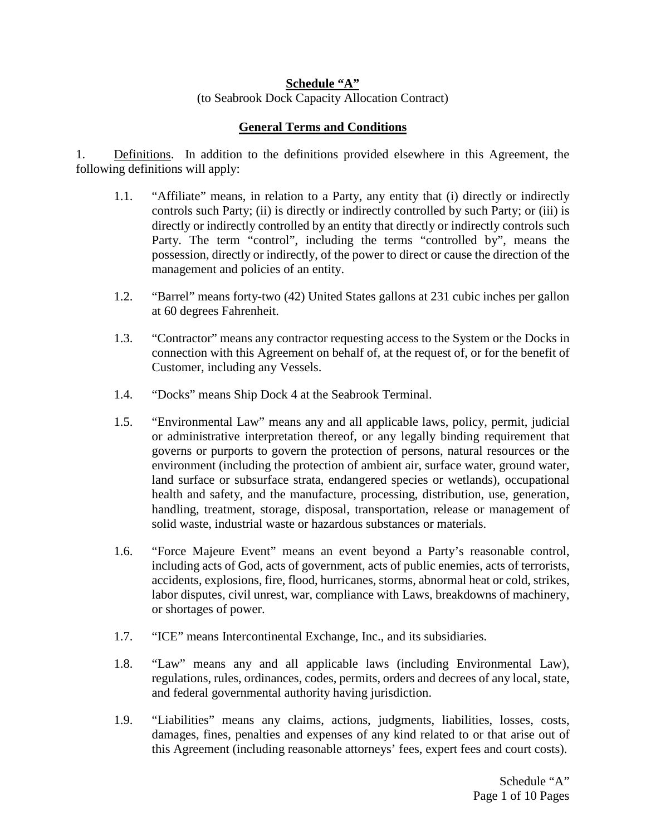### **Schedule "A"** (to Seabrook Dock Capacity Allocation Contract)

# **General Terms and Conditions**

1. Definitions. In addition to the definitions provided elsewhere in this Agreement, the following definitions will apply:

- 1.1. "Affiliate" means, in relation to a Party, any entity that (i) directly or indirectly controls such Party; (ii) is directly or indirectly controlled by such Party; or (iii) is directly or indirectly controlled by an entity that directly or indirectly controls such Party. The term "control", including the terms "controlled by", means the possession, directly or indirectly, of the power to direct or cause the direction of the management and policies of an entity.
- 1.2. "Barrel" means forty-two (42) United States gallons at 231 cubic inches per gallon at 60 degrees Fahrenheit.
- 1.3. "Contractor" means any contractor requesting access to the System or the Docks in connection with this Agreement on behalf of, at the request of, or for the benefit of Customer, including any Vessels.
- 1.4. "Docks" means Ship Dock 4 at the Seabrook Terminal.
- 1.5. "Environmental Law" means any and all applicable laws, policy, permit, judicial or administrative interpretation thereof, or any legally binding requirement that governs or purports to govern the protection of persons, natural resources or the environment (including the protection of ambient air, surface water, ground water, land surface or subsurface strata, endangered species or wetlands), occupational health and safety, and the manufacture, processing, distribution, use, generation, handling, treatment, storage, disposal, transportation, release or management of solid waste, industrial waste or hazardous substances or materials.
- 1.6. "Force Majeure Event" means an event beyond a Party's reasonable control, including acts of God, acts of government, acts of public enemies, acts of terrorists, accidents, explosions, fire, flood, hurricanes, storms, abnormal heat or cold, strikes, labor disputes, civil unrest, war, compliance with Laws, breakdowns of machinery, or shortages of power.
- 1.7. "ICE" means Intercontinental Exchange, Inc., and its subsidiaries.
- 1.8. "Law" means any and all applicable laws (including Environmental Law), regulations, rules, ordinances, codes, permits, orders and decrees of any local, state, and federal governmental authority having jurisdiction.
- 1.9. "Liabilities" means any claims, actions, judgments, liabilities, losses, costs, damages, fines, penalties and expenses of any kind related to or that arise out of this Agreement (including reasonable attorneys' fees, expert fees and court costs).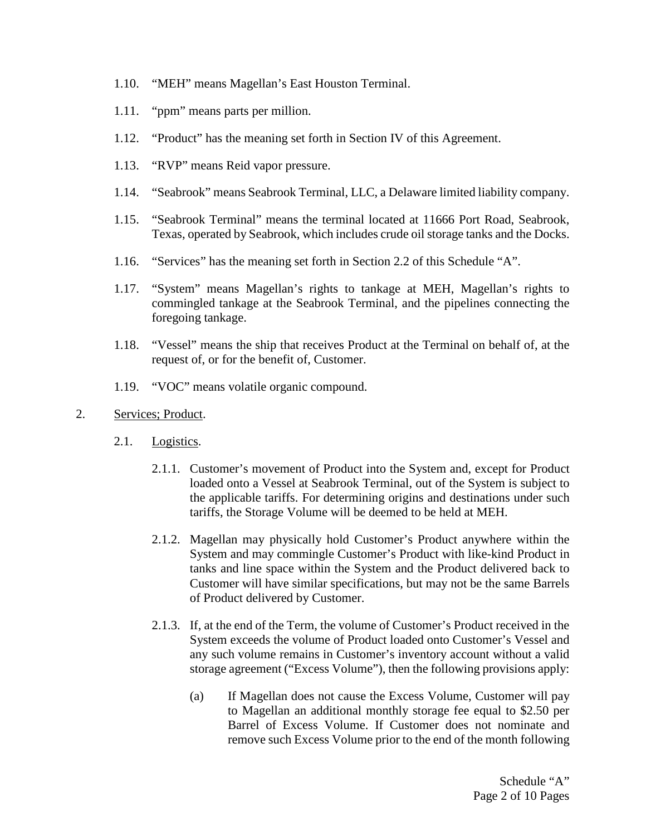- 1.10. "MEH" means Magellan's East Houston Terminal.
- 1.11. "ppm" means parts per million.
- 1.12. "Product" has the meaning set forth in Section [IV](#page-0-0) of this Agreement.
- 1.13. "RVP" means Reid vapor pressure.
- 1.14. "Seabrook" means Seabrook Terminal, LLC, a Delaware limited liability company.
- 1.15. "Seabrook Terminal" means the terminal located at 11666 Port Road, Seabrook, Texas, operated by Seabrook, which includes crude oil storage tanks and the Docks.
- 1.16. "Services" has the meaning set forth in Section [2.2](#page-5-0) of this Schedule "A".
- 1.17. "System" means Magellan's rights to tankage at MEH, Magellan's rights to commingled tankage at the Seabrook Terminal, and the pipelines connecting the foregoing tankage.
- 1.18. "Vessel" means the ship that receives Product at the Terminal on behalf of, at the request of, or for the benefit of, Customer.
- 1.19. "VOC" means volatile organic compound.

### 2. Services; Product.

- <span id="page-4-0"></span>2.1. Logistics.
	- 2.1.1. Customer's movement of Product into the System and, except for Product loaded onto a Vessel at Seabrook Terminal, out of the System is subject to the applicable tariffs. For determining origins and destinations under such tariffs, the Storage Volume will be deemed to be held at MEH.
	- 2.1.2. Magellan may physically hold Customer's Product anywhere within the System and may commingle Customer's Product with like-kind Product in tanks and line space within the System and the Product delivered back to Customer will have similar specifications, but may not be the same Barrels of Product delivered by Customer.
	- 2.1.3. If, at the end of the Term, the volume of Customer's Product received in the System exceeds the volume of Product loaded onto Customer's Vessel and any such volume remains in Customer's inventory account without a valid storage agreement ("Excess Volume"), then the following provisions apply:
		- (a) If Magellan does not cause the Excess Volume, Customer will pay to Magellan an additional monthly storage fee equal to \$2.50 per Barrel of Excess Volume. If Customer does not nominate and remove such Excess Volume prior to the end of the month following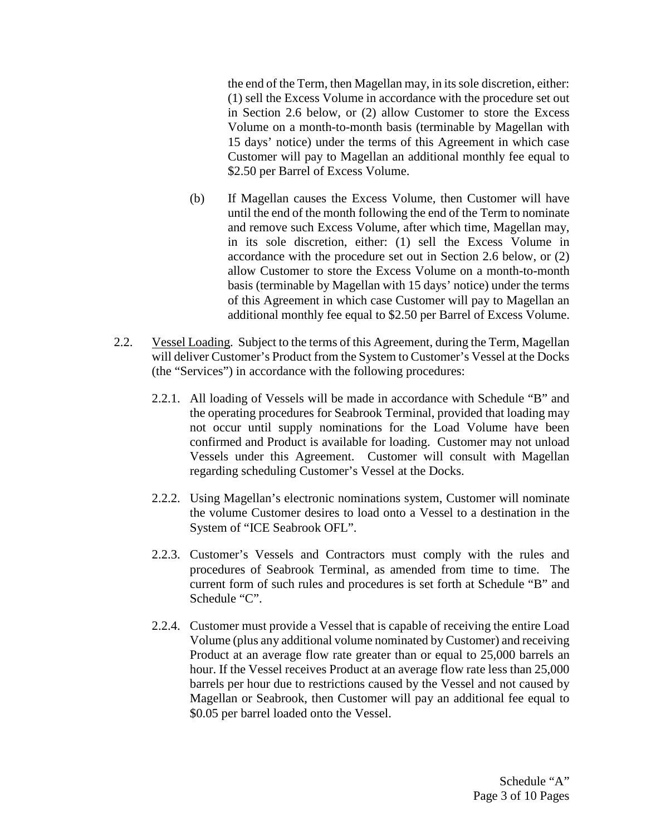the end of the Term, then Magellan may, in its sole discretion, either: (1) sell the Excess Volume in accordance with the procedure set out in Section [2.6](#page-6-0) below, or (2) allow Customer to store the Excess Volume on a month-to-month basis (terminable by Magellan with 15 days' notice) under the terms of this Agreement in which case Customer will pay to Magellan an additional monthly fee equal to \$2.50 per Barrel of Excess Volume.

- (b) If Magellan causes the Excess Volume, then Customer will have until the end of the month following the end of the Term to nominate and remove such Excess Volume, after which time, Magellan may, in its sole discretion, either: (1) sell the Excess Volume in accordance with the procedure set out in Section [2.6](#page-6-0) below, or (2) allow Customer to store the Excess Volume on a month-to-month basis (terminable by Magellan with 15 days' notice) under the terms of this Agreement in which case Customer will pay to Magellan an additional monthly fee equal to \$2.50 per Barrel of Excess Volume.
- <span id="page-5-0"></span>2.2. Vessel Loading. Subject to the terms of this Agreement, during the Term, Magellan will deliver Customer's Product from the System to Customer's Vessel at the Docks (the "Services") in accordance with the following procedures:
	- 2.2.1. All loading of Vessels will be made in accordance with Schedule "B" and the operating procedures for Seabrook Terminal, provided that loading may not occur until supply nominations for the Load Volume have been confirmed and Product is available for loading. Customer may not unload Vessels under this Agreement. Customer will consult with Magellan regarding scheduling Customer's Vessel at the Docks.
	- 2.2.2. Using Magellan's electronic nominations system, Customer will nominate the volume Customer desires to load onto a Vessel to a destination in the System of "ICE Seabrook OFL".
	- 2.2.3. Customer's Vessels and Contractors must comply with the rules and procedures of Seabrook Terminal, as amended from time to time. The current form of such rules and procedures is set forth at Schedule "B" and Schedule "C".
	- 2.2.4. Customer must provide a Vessel that is capable of receiving the entire Load Volume (plus any additional volume nominated by Customer) and receiving Product at an average flow rate greater than or equal to 25,000 barrels an hour. If the Vessel receives Product at an average flow rate less than 25,000 barrels per hour due to restrictions caused by the Vessel and not caused by Magellan or Seabrook, then Customer will pay an additional fee equal to \$0.05 per barrel loaded onto the Vessel.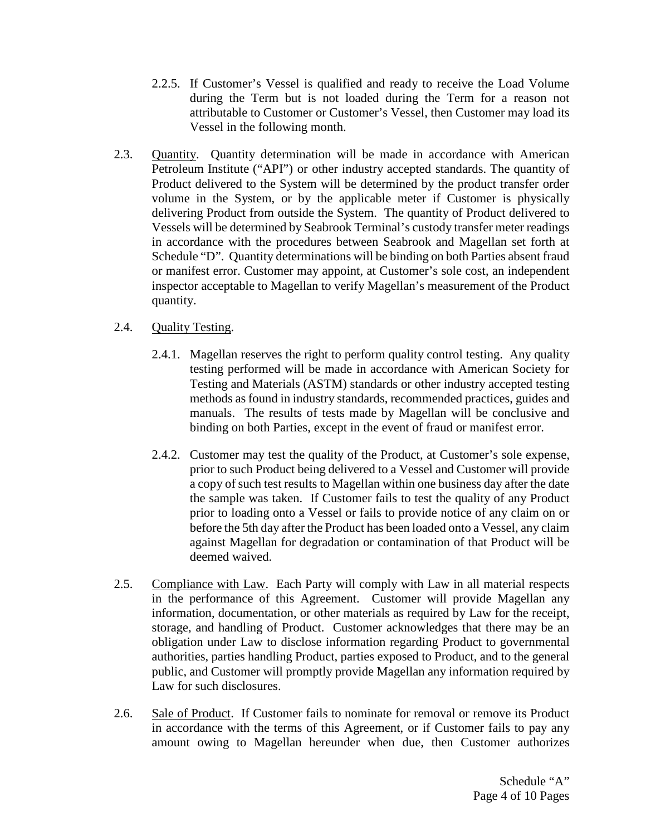- 2.2.5. If Customer's Vessel is qualified and ready to receive the Load Volume during the Term but is not loaded during the Term for a reason not attributable to Customer or Customer's Vessel, then Customer may load its Vessel in the following month.
- 2.3. Quantity. Quantity determination will be made in accordance with American Petroleum Institute ("API") or other industry accepted standards. The quantity of Product delivered to the System will be determined by the product transfer order volume in the System, or by the applicable meter if Customer is physically delivering Product from outside the System. The quantity of Product delivered to Vessels will be determined by Seabrook Terminal's custody transfer meter readings in accordance with the procedures between Seabrook and Magellan set forth at Schedule "D". Quantity determinations will be binding on both Parties absent fraud or manifest error. Customer may appoint, at Customer's sole cost, an independent inspector acceptable to Magellan to verify Magellan's measurement of the Product quantity.

# 2.4. Quality Testing.

- 2.4.1. Magellan reserves the right to perform quality control testing. Any quality testing performed will be made in accordance with American Society for Testing and Materials (ASTM) standards or other industry accepted testing methods as found in industry standards, recommended practices, guides and manuals. The results of tests made by Magellan will be conclusive and binding on both Parties, except in the event of fraud or manifest error.
- 2.4.2. Customer may test the quality of the Product, at Customer's sole expense, prior to such Product being delivered to a Vessel and Customer will provide a copy of such test results to Magellan within one business day after the date the sample was taken. If Customer fails to test the quality of any Product prior to loading onto a Vessel or fails to provide notice of any claim on or before the 5th day after the Product has been loaded onto a Vessel, any claim against Magellan for degradation or contamination of that Product will be deemed waived.
- 2.5. Compliance with Law. Each Party will comply with Law in all material respects in the performance of this Agreement. Customer will provide Magellan any information, documentation, or other materials as required by Law for the receipt, storage, and handling of Product. Customer acknowledges that there may be an obligation under Law to disclose information regarding Product to governmental authorities, parties handling Product, parties exposed to Product, and to the general public, and Customer will promptly provide Magellan any information required by Law for such disclosures.
- <span id="page-6-0"></span>2.6. Sale of Product. If Customer fails to nominate for removal or remove its Product in accordance with the terms of this Agreement, or if Customer fails to pay any amount owing to Magellan hereunder when due, then Customer authorizes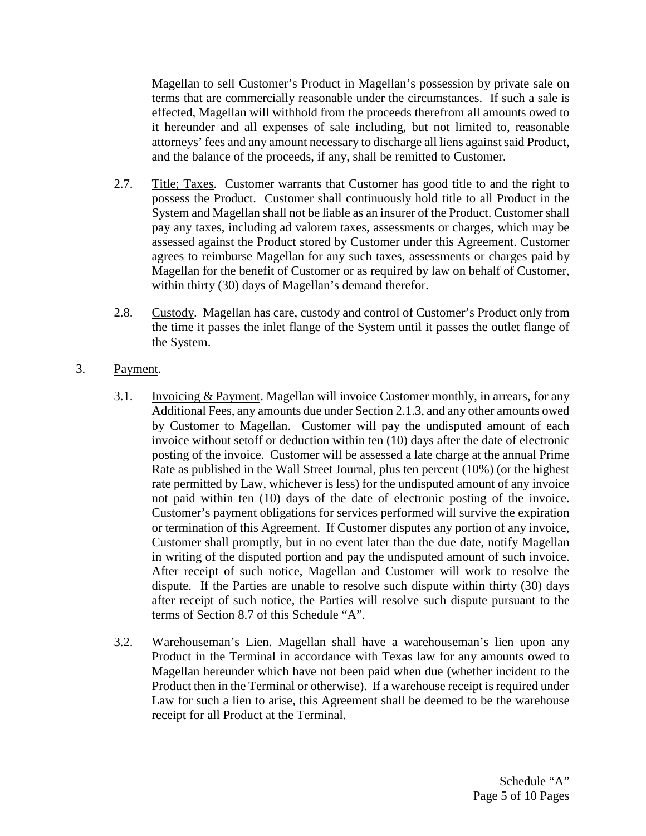Magellan to sell Customer's Product in Magellan's possession by private sale on terms that are commercially reasonable under the circumstances. If such a sale is effected, Magellan will withhold from the proceeds therefrom all amounts owed to it hereunder and all expenses of sale including, but not limited to, reasonable attorneys' fees and any amount necessary to discharge all liens against said Product, and the balance of the proceeds, if any, shall be remitted to Customer.

- 2.7. Title; Taxes. Customer warrants that Customer has good title to and the right to possess the Product. Customer shall continuously hold title to all Product in the System and Magellan shall not be liable as an insurer of the Product. Customer shall pay any taxes, including ad valorem taxes, assessments or charges, which may be assessed against the Product stored by Customer under this Agreement. Customer agrees to reimburse Magellan for any such taxes, assessments or charges paid by Magellan for the benefit of Customer or as required by law on behalf of Customer, within thirty (30) days of Magellan's demand therefor.
- 2.8. Custody. Magellan has care, custody and control of Customer's Product only from the time it passes the inlet flange of the System until it passes the outlet flange of the System.

### 3. Payment.

- 3.1. Invoicing & Payment. Magellan will invoice Customer monthly, in arrears, for any Additional Fees, any amounts due under Section [2.1.3,](#page-4-0) and any other amounts owed by Customer to Magellan. Customer will pay the undisputed amount of each invoice without setoff or deduction within ten (10) days after the date of electronic posting of the invoice. Customer will be assessed a late charge at the annual Prime Rate as published in the Wall Street Journal, plus ten percent (10%) (or the highest rate permitted by Law, whichever is less) for the undisputed amount of any invoice not paid within ten (10) days of the date of electronic posting of the invoice. Customer's payment obligations for services performed will survive the expiration or termination of this Agreement. If Customer disputes any portion of any invoice, Customer shall promptly, but in no event later than the due date, notify Magellan in writing of the disputed portion and pay the undisputed amount of such invoice. After receipt of such notice, Magellan and Customer will work to resolve the dispute. If the Parties are unable to resolve such dispute within thirty (30) days after receipt of such notice, the Parties will resolve such dispute pursuant to the terms of Section [8.7](#page-12-0) of this Schedule "A".
- 3.2. Warehouseman's Lien. Magellan shall have a warehouseman's lien upon any Product in the Terminal in accordance with Texas law for any amounts owed to Magellan hereunder which have not been paid when due (whether incident to the Product then in the Terminal or otherwise). If a warehouse receipt is required under Law for such a lien to arise, this Agreement shall be deemed to be the warehouse receipt for all Product at the Terminal.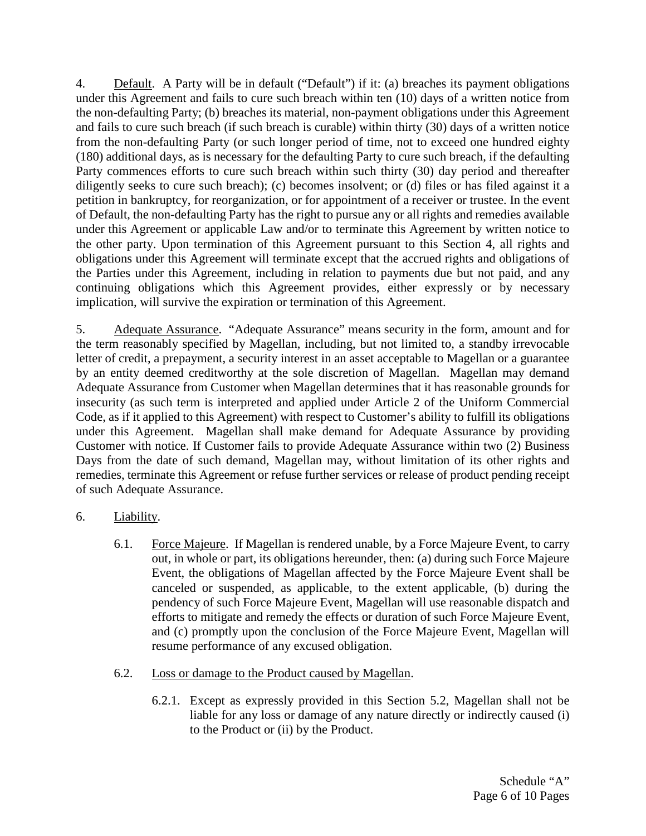<span id="page-8-0"></span>4. Default. A Party will be in default ("Default") if it: (a) breaches its payment obligations under this Agreement and fails to cure such breach within ten (10) days of a written notice from the non-defaulting Party; (b) breaches its material, non-payment obligations under this Agreement and fails to cure such breach (if such breach is curable) within thirty (30) days of a written notice from the non-defaulting Party (or such longer period of time, not to exceed one hundred eighty (180) additional days, as is necessary for the defaulting Party to cure such breach, if the defaulting Party commences efforts to cure such breach within such thirty (30) day period and thereafter diligently seeks to cure such breach); (c) becomes insolvent; or (d) files or has filed against it a petition in bankruptcy, for reorganization, or for appointment of a receiver or trustee. In the event of Default, the non-defaulting Party has the right to pursue any or all rights and remedies available under this Agreement or applicable Law and/or to terminate this Agreement by written notice to the other party. Upon termination of this Agreement pursuant to this Section [4,](#page-8-0) all rights and obligations under this Agreement will terminate except that the accrued rights and obligations of the Parties under this Agreement, including in relation to payments due but not paid, and any continuing obligations which this Agreement provides, either expressly or by necessary implication, will survive the expiration or termination of this Agreement.

5. Adequate Assurance. "Adequate Assurance" means security in the form, amount and for the term reasonably specified by Magellan, including, but not limited to, a standby irrevocable letter of credit, a prepayment, a security interest in an asset acceptable to Magellan or a guarantee by an entity deemed creditworthy at the sole discretion of Magellan. Magellan may demand Adequate Assurance from Customer when Magellan determines that it has reasonable grounds for insecurity (as such term is interpreted and applied under Article 2 of the Uniform Commercial Code, as if it applied to this Agreement) with respect to Customer's ability to fulfill its obligations under this Agreement. Magellan shall make demand for Adequate Assurance by providing Customer with notice. If Customer fails to provide Adequate Assurance within two (2) Business Days from the date of such demand, Magellan may, without limitation of its other rights and remedies, terminate this Agreement or refuse further services or release of product pending receipt of such Adequate Assurance.

- <span id="page-8-1"></span>6. Liability.
	- 6.1. Force Majeure. If Magellan is rendered unable, by a Force Majeure Event, to carry out, in whole or part, its obligations hereunder, then: (a) during such Force Majeure Event, the obligations of Magellan affected by the Force Majeure Event shall be canceled or suspended, as applicable, to the extent applicable, (b) during the pendency of such Force Majeure Event, Magellan will use reasonable dispatch and efforts to mitigate and remedy the effects or duration of such Force Majeure Event, and (c) promptly upon the conclusion of the Force Majeure Event, Magellan will resume performance of any excused obligation.
	- 6.2. Loss or damage to the Product caused by Magellan.
		- 6.2.1. Except as expressly provided in this Section [5.2,](#page-8-1) Magellan shall not be liable for any loss or damage of any nature directly or indirectly caused (i) to the Product or (ii) by the Product.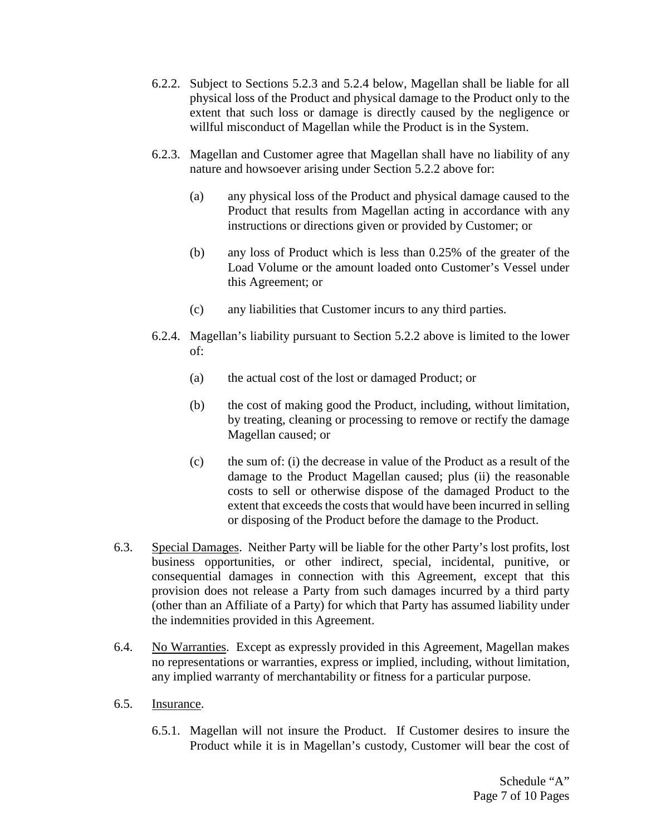- <span id="page-9-2"></span>6.2.2. Subject to Sections [5.2.3](#page-9-0) and [5.2.4](#page-9-1) below, Magellan shall be liable for all physical loss of the Product and physical damage to the Product only to the extent that such loss or damage is directly caused by the negligence or willful misconduct of Magellan while the Product is in the System.
- <span id="page-9-0"></span>6.2.3. Magellan and Customer agree that Magellan shall have no liability of any nature and howsoever arising under Section [5.2.2](#page-9-2) above for:
	- (a) any physical loss of the Product and physical damage caused to the Product that results from Magellan acting in accordance with any instructions or directions given or provided by Customer; or
	- (b) any loss of Product which is less than 0.25% of the greater of the Load Volume or the amount loaded onto Customer's Vessel under this Agreement; or
	- (c) any liabilities that Customer incurs to any third parties.
- <span id="page-9-1"></span>6.2.4. Magellan's liability pursuant to Section [5.2.2](#page-9-2) above is limited to the lower of:
	- (a) the actual cost of the lost or damaged Product; or
	- (b) the cost of making good the Product, including, without limitation, by treating, cleaning or processing to remove or rectify the damage Magellan caused; or
	- (c) the sum of: (i) the decrease in value of the Product as a result of the damage to the Product Magellan caused; plus (ii) the reasonable costs to sell or otherwise dispose of the damaged Product to the extent that exceeds the costs that would have been incurred in selling or disposing of the Product before the damage to the Product.
- <span id="page-9-3"></span>6.3. Special Damages. Neither Party will be liable for the other Party's lost profits, lost business opportunities, or other indirect, special, incidental, punitive, or consequential damages in connection with this Agreement, except that this provision does not release a Party from such damages incurred by a third party (other than an Affiliate of a Party) for which that Party has assumed liability under the indemnities provided in this Agreement.
- 6.4. No Warranties. Except as expressly provided in this Agreement, Magellan makes no representations or warranties, express or implied, including, without limitation, any implied warranty of merchantability or fitness for a particular purpose.
- 6.5. Insurance.
	- 6.5.1. Magellan will not insure the Product. If Customer desires to insure the Product while it is in Magellan's custody, Customer will bear the cost of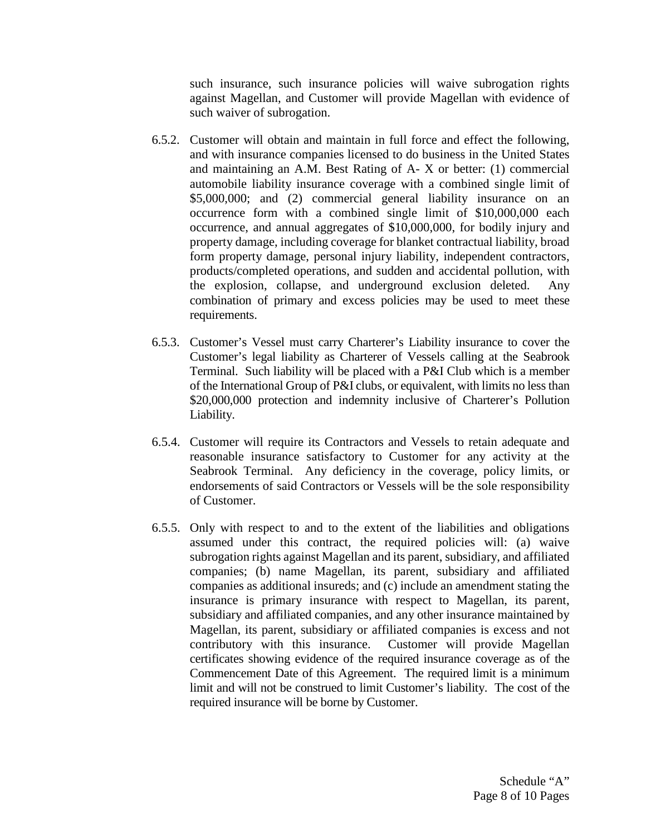such insurance, such insurance policies will waive subrogation rights against Magellan, and Customer will provide Magellan with evidence of such waiver of subrogation.

- 6.5.2. Customer will obtain and maintain in full force and effect the following, and with insurance companies licensed to do business in the United States and maintaining an A.M. Best Rating of A- X or better: (1) commercial automobile liability insurance coverage with a combined single limit of \$5,000,000; and (2) commercial general liability insurance on an occurrence form with a combined single limit of \$10,000,000 each occurrence, and annual aggregates of \$10,000,000, for bodily injury and property damage, including coverage for blanket contractual liability, broad form property damage, personal injury liability, independent contractors, products/completed operations, and sudden and accidental pollution, with the explosion, collapse, and underground exclusion deleted. Any combination of primary and excess policies may be used to meet these requirements.
- 6.5.3. Customer's Vessel must carry Charterer's Liability insurance to cover the Customer's legal liability as Charterer of Vessels calling at the Seabrook Terminal. Such liability will be placed with a P&I Club which is a member of the International Group of P&I clubs, or equivalent, with limits no less than \$20,000,000 protection and indemnity inclusive of Charterer's Pollution Liability.
- 6.5.4. Customer will require its Contractors and Vessels to retain adequate and reasonable insurance satisfactory to Customer for any activity at the Seabrook Terminal. Any deficiency in the coverage, policy limits, or endorsements of said Contractors or Vessels will be the sole responsibility of Customer.
- 6.5.5. Only with respect to and to the extent of the liabilities and obligations assumed under this contract, the required policies will: (a) waive subrogation rights against Magellan and its parent, subsidiary, and affiliated companies; (b) name Magellan, its parent, subsidiary and affiliated companies as additional insureds; and (c) include an amendment stating the insurance is primary insurance with respect to Magellan, its parent, subsidiary and affiliated companies, and any other insurance maintained by Magellan, its parent, subsidiary or affiliated companies is excess and not contributory with this insurance. Customer will provide Magellan certificates showing evidence of the required insurance coverage as of the Commencement Date of this Agreement. The required limit is a minimum limit and will not be construed to limit Customer's liability. The cost of the required insurance will be borne by Customer.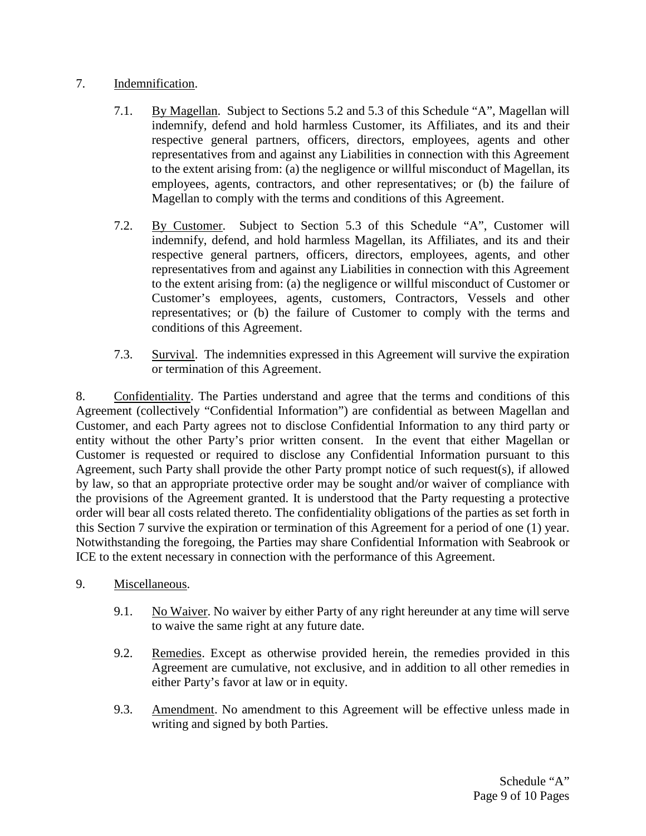# 7. Indemnification.

- 7.1. By Magellan. Subject to Sections [5.2](#page-8-1) and [5.3](#page-9-3) of this Schedule "A", Magellan will indemnify, defend and hold harmless Customer, its Affiliates, and its and their respective general partners, officers, directors, employees, agents and other representatives from and against any Liabilities in connection with this Agreement to the extent arising from: (a) the negligence or willful misconduct of Magellan, its employees, agents, contractors, and other representatives; or (b) the failure of Magellan to comply with the terms and conditions of this Agreement.
- 7.2. By Customer. Subject to Section [5.3](#page-9-3) of this Schedule "A", Customer will indemnify, defend, and hold harmless Magellan, its Affiliates, and its and their respective general partners, officers, directors, employees, agents, and other representatives from and against any Liabilities in connection with this Agreement to the extent arising from: (a) the negligence or willful misconduct of Customer or Customer's employees, agents, customers, Contractors, Vessels and other representatives; or (b) the failure of Customer to comply with the terms and conditions of this Agreement.
- 7.3. Survival. The indemnities expressed in this Agreement will survive the expiration or termination of this Agreement.

<span id="page-11-0"></span>8. Confidentiality. The Parties understand and agree that the terms and conditions of this Agreement (collectively "Confidential Information") are confidential as between Magellan and Customer, and each Party agrees not to disclose Confidential Information to any third party or entity without the other Party's prior written consent. In the event that either Magellan or Customer is requested or required to disclose any Confidential Information pursuant to this Agreement, such Party shall provide the other Party prompt notice of such request(s), if allowed by law, so that an appropriate protective order may be sought and/or waiver of compliance with the provisions of the Agreement granted. It is understood that the Party requesting a protective order will bear all costs related thereto. The confidentiality obligations of the parties as set forth in this Section [7](#page-11-0) survive the expiration or termination of this Agreement for a period of one (1) year. Notwithstanding the foregoing, the Parties may share Confidential Information with Seabrook or ICE to the extent necessary in connection with the performance of this Agreement.

- 9. Miscellaneous.
	- 9.1. No Waiver. No waiver by either Party of any right hereunder at any time will serve to waive the same right at any future date.
	- 9.2. Remedies. Except as otherwise provided herein, the remedies provided in this Agreement are cumulative, not exclusive, and in addition to all other remedies in either Party's favor at law or in equity.
	- 9.3. Amendment. No amendment to this Agreement will be effective unless made in writing and signed by both Parties.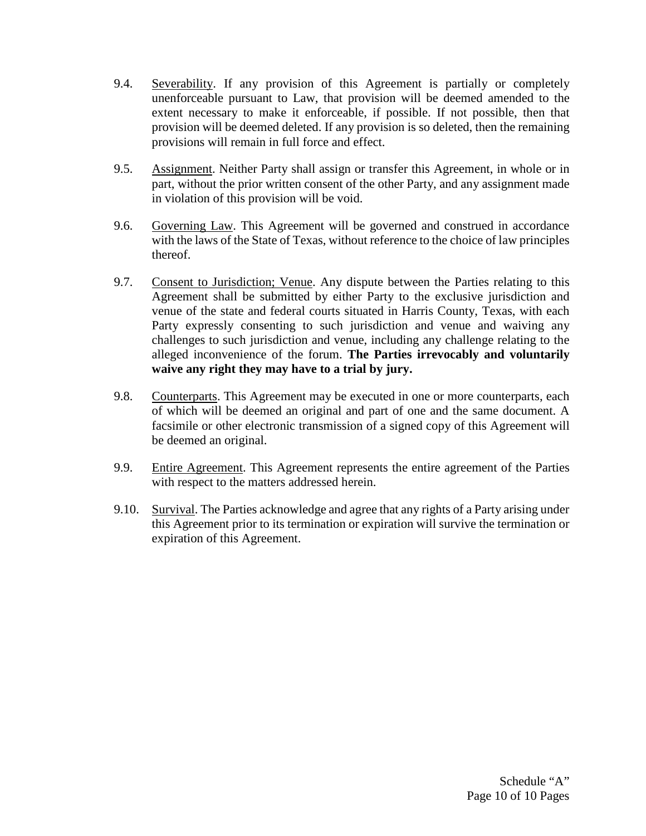- 9.4. Severability. If any provision of this Agreement is partially or completely unenforceable pursuant to Law, that provision will be deemed amended to the extent necessary to make it enforceable, if possible. If not possible, then that provision will be deemed deleted. If any provision is so deleted, then the remaining provisions will remain in full force and effect.
- 9.5. Assignment. Neither Party shall assign or transfer this Agreement, in whole or in part, without the prior written consent of the other Party, and any assignment made in violation of this provision will be void.
- 9.6. Governing Law. This Agreement will be governed and construed in accordance with the laws of the State of Texas, without reference to the choice of law principles thereof.
- <span id="page-12-0"></span>9.7. Consent to Jurisdiction; Venue. Any dispute between the Parties relating to this Agreement shall be submitted by either Party to the exclusive jurisdiction and venue of the state and federal courts situated in Harris County, Texas, with each Party expressly consenting to such jurisdiction and venue and waiving any challenges to such jurisdiction and venue, including any challenge relating to the alleged inconvenience of the forum. **The Parties irrevocably and voluntarily waive any right they may have to a trial by jury.**
- 9.8. Counterparts. This Agreement may be executed in one or more counterparts, each of which will be deemed an original and part of one and the same document. A facsimile or other electronic transmission of a signed copy of this Agreement will be deemed an original.
- 9.9. Entire Agreement. This Agreement represents the entire agreement of the Parties with respect to the matters addressed herein.
- 9.10. Survival. The Parties acknowledge and agree that any rights of a Party arising under this Agreement prior to its termination or expiration will survive the termination or expiration of this Agreement.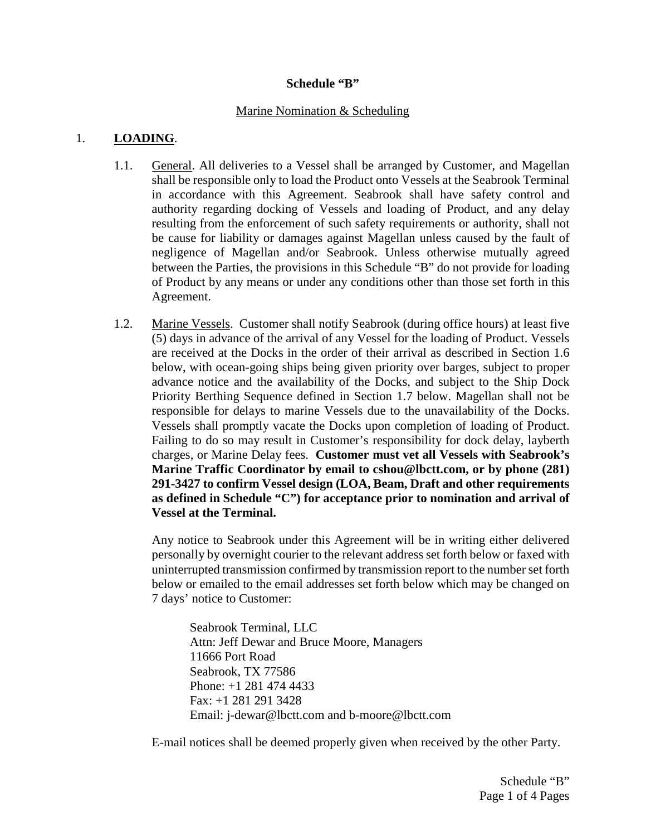### **Schedule "B"**

### Marine Nomination & Scheduling

## 1. **LOADING**.

- 1.1. General. All deliveries to a Vessel shall be arranged by Customer, and Magellan shall be responsible only to load the Product onto Vessels at the Seabrook Terminal in accordance with this Agreement. Seabrook shall have safety control and authority regarding docking of Vessels and loading of Product, and any delay resulting from the enforcement of such safety requirements or authority, shall not be cause for liability or damages against Magellan unless caused by the fault of negligence of Magellan and/or Seabrook. Unless otherwise mutually agreed between the Parties, the provisions in this Schedule "B" do not provide for loading of Product by any means or under any conditions other than those set forth in this Agreement.
- 1.2. Marine Vessels. Customer shall notify Seabrook (during office hours) at least five (5) days in advance of the arrival of any Vessel for the loading of Product. Vessels are received at the Docks in the order of their arrival as described in Section [1.6](#page-15-0)  [below,](#page-15-0) with ocean-going ships being given priority over barges, subject to proper advance notice and the availability of the Docks, and subject to the Ship Dock Priority Berthing Sequence defined in Section [1.7 below.](#page-15-1) Magellan shall not be responsible for delays to marine Vessels due to the unavailability of the Docks. Vessels shall promptly vacate the Docks upon completion of loading of Product. Failing to do so may result in Customer's responsibility for dock delay, layberth charges, or Marine Delay fees. **Customer must vet all Vessels with Seabrook's Marine Traffic Coordinator by email to cshou@lbctt.com, or by phone (281) 291-3427 to confirm Vessel design (LOA, Beam, Draft and other requirements as defined in Schedule "C") for acceptance prior to nomination and arrival of Vessel at the Terminal.**

Any notice to Seabrook under this Agreement will be in writing either delivered personally by overnight courier to the relevant address set forth below or faxed with uninterrupted transmission confirmed by transmission report to the number set forth below or emailed to the email addresses set forth below which may be changed on 7 days' notice to Customer:

Seabrook Terminal, LLC Attn: Jeff Dewar and Bruce Moore, Managers 11666 Port Road Seabrook, TX 77586 Phone: +1 281 474 4433 Fax: +1 281 291 3428 Email: j-dewar@lbctt.com and b-moore@lbctt.com

E-mail notices shall be deemed properly given when received by the other Party.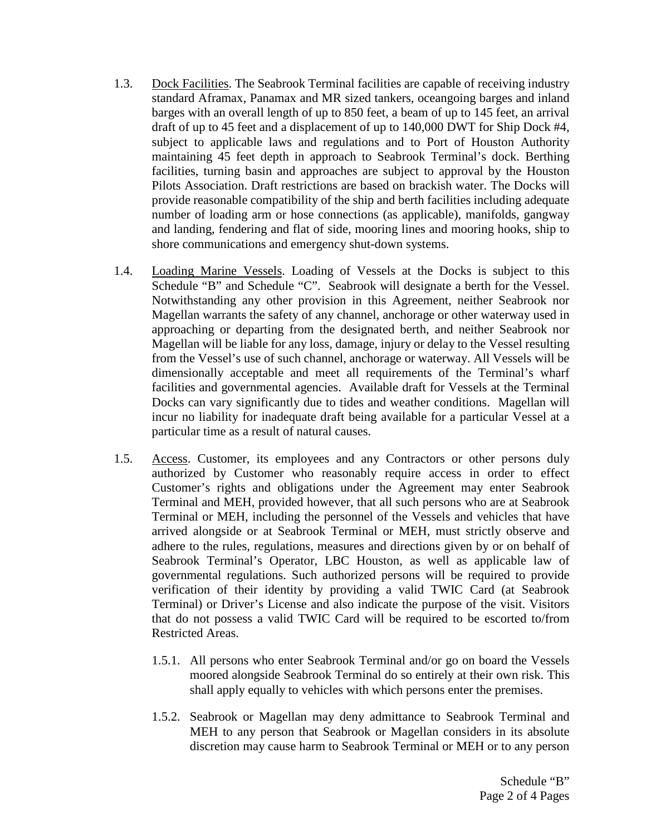- 1.3. Dock Facilities. The Seabrook Terminal facilities are capable of receiving industry standard Aframax, Panamax and MR sized tankers, oceangoing barges and inland barges with an overall length of up to 850 feet, a beam of up to 145 feet, an arrival draft of up to 45 feet and a displacement of up to 140,000 DWT for Ship Dock #4, subject to applicable laws and regulations and to Port of Houston Authority maintaining 45 feet depth in approach to Seabrook Terminal's dock. Berthing facilities, turning basin and approaches are subject to approval by the Houston Pilots Association. Draft restrictions are based on brackish water. The Docks will provide reasonable compatibility of the ship and berth facilities including adequate number of loading arm or hose connections (as applicable), manifolds, gangway and landing, fendering and flat of side, mooring lines and mooring hooks, ship to shore communications and emergency shut-down systems.
- 1.4. Loading Marine Vessels. Loading of Vessels at the Docks is subject to this Schedule "B" and Schedule "C". Seabrook will designate a berth for the Vessel. Notwithstanding any other provision in this Agreement, neither Seabrook nor Magellan warrants the safety of any channel, anchorage or other waterway used in approaching or departing from the designated berth, and neither Seabrook nor Magellan will be liable for any loss, damage, injury or delay to the Vessel resulting from the Vessel's use of such channel, anchorage or waterway. All Vessels will be dimensionally acceptable and meet all requirements of the Terminal's wharf facilities and governmental agencies. Available draft for Vessels at the Terminal Docks can vary significantly due to tides and weather conditions. Magellan will incur no liability for inadequate draft being available for a particular Vessel at a particular time as a result of natural causes.
- 1.5. Access. Customer, its employees and any Contractors or other persons duly authorized by Customer who reasonably require access in order to effect Customer's rights and obligations under the Agreement may enter Seabrook Terminal and MEH, provided however, that all such persons who are at Seabrook Terminal or MEH, including the personnel of the Vessels and vehicles that have arrived alongside or at Seabrook Terminal or MEH, must strictly observe and adhere to the rules, regulations, measures and directions given by or on behalf of Seabrook Terminal's Operator, LBC Houston, as well as applicable law of governmental regulations. Such authorized persons will be required to provide verification of their identity by providing a valid TWIC Card (at Seabrook Terminal) or Driver's License and also indicate the purpose of the visit. Visitors that do not possess a valid TWIC Card will be required to be escorted to/from Restricted Areas.
	- 1.5.1. All persons who enter Seabrook Terminal and/or go on board the Vessels moored alongside Seabrook Terminal do so entirely at their own risk. This shall apply equally to vehicles with which persons enter the premises.
	- 1.5.2. Seabrook or Magellan may deny admittance to Seabrook Terminal and MEH to any person that Seabrook or Magellan considers in its absolute discretion may cause harm to Seabrook Terminal or MEH or to any person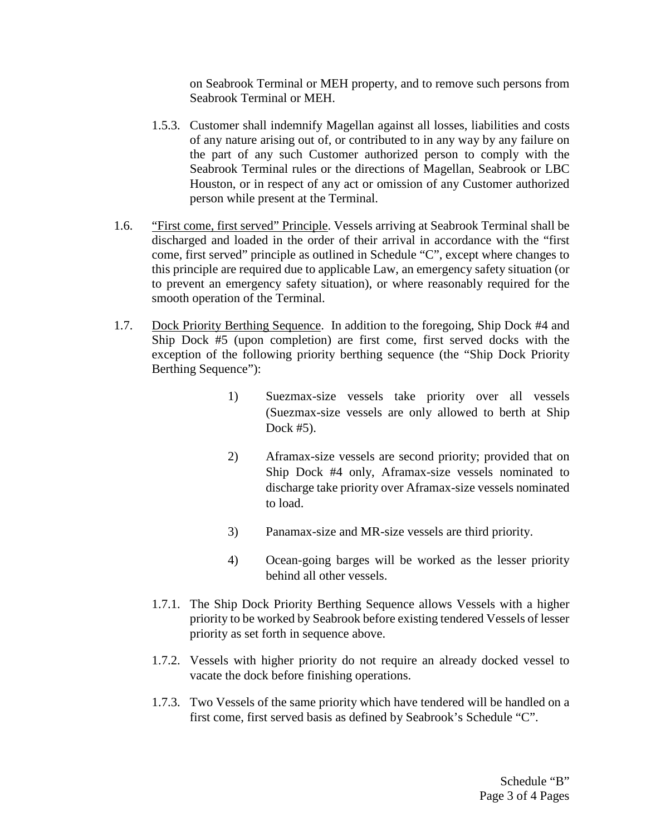on Seabrook Terminal or MEH property, and to remove such persons from Seabrook Terminal or MEH.

- 1.5.3. Customer shall indemnify Magellan against all losses, liabilities and costs of any nature arising out of, or contributed to in any way by any failure on the part of any such Customer authorized person to comply with the Seabrook Terminal rules or the directions of Magellan, Seabrook or LBC Houston, or in respect of any act or omission of any Customer authorized person while present at the Terminal.
- <span id="page-15-0"></span>1.6. "First come, first served" Principle. Vessels arriving at Seabrook Terminal shall be discharged and loaded in the order of their arrival in accordance with the "first come, first served" principle as outlined in Schedule "C", except where changes to this principle are required due to applicable Law, an emergency safety situation (or to prevent an emergency safety situation), or where reasonably required for the smooth operation of the Terminal.
- <span id="page-15-1"></span>1.7. Dock Priority Berthing Sequence. In addition to the foregoing, Ship Dock #4 and Ship Dock #5 (upon completion) are first come, first served docks with the exception of the following priority berthing sequence (the "Ship Dock Priority Berthing Sequence"):
	- 1) Suezmax-size vessels take priority over all vessels (Suezmax-size vessels are only allowed to berth at Ship Dock #5).
	- 2) Aframax-size vessels are second priority; provided that on Ship Dock #4 only, Aframax-size vessels nominated to discharge take priority over Aframax-size vessels nominated to load.
	- 3) Panamax-size and MR-size vessels are third priority.
	- 4) Ocean-going barges will be worked as the lesser priority behind all other vessels.
	- 1.7.1. The Ship Dock Priority Berthing Sequence allows Vessels with a higher priority to be worked by Seabrook before existing tendered Vessels of lesser priority as set forth in sequence above.
	- 1.7.2. Vessels with higher priority do not require an already docked vessel to vacate the dock before finishing operations.
	- 1.7.3. Two Vessels of the same priority which have tendered will be handled on a first come, first served basis as defined by Seabrook's Schedule "C".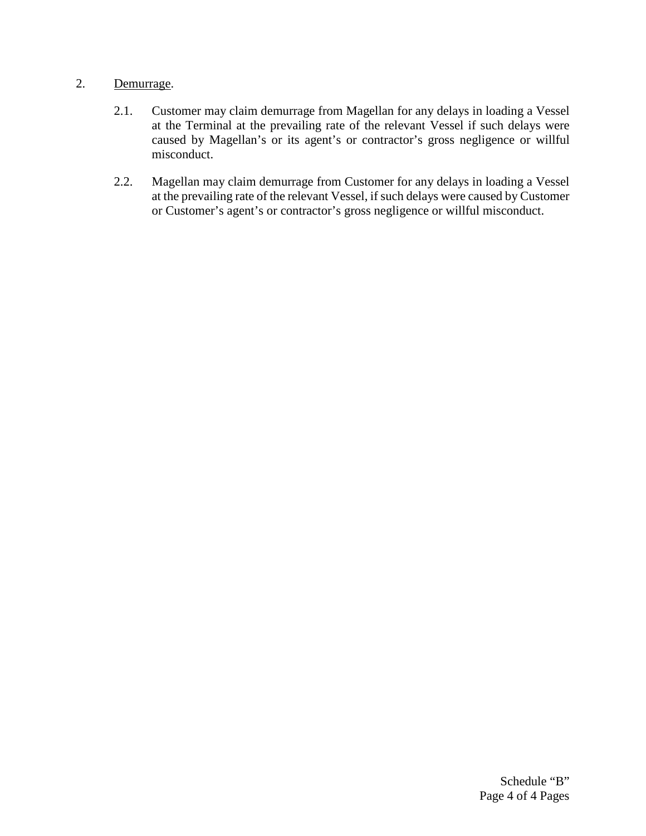# 2. Demurrage.

- 2.1. Customer may claim demurrage from Magellan for any delays in loading a Vessel at the Terminal at the prevailing rate of the relevant Vessel if such delays were caused by Magellan's or its agent's or contractor's gross negligence or willful misconduct.
- 2.2. Magellan may claim demurrage from Customer for any delays in loading a Vessel at the prevailing rate of the relevant Vessel, if such delays were caused by Customer or Customer's agent's or contractor's gross negligence or willful misconduct.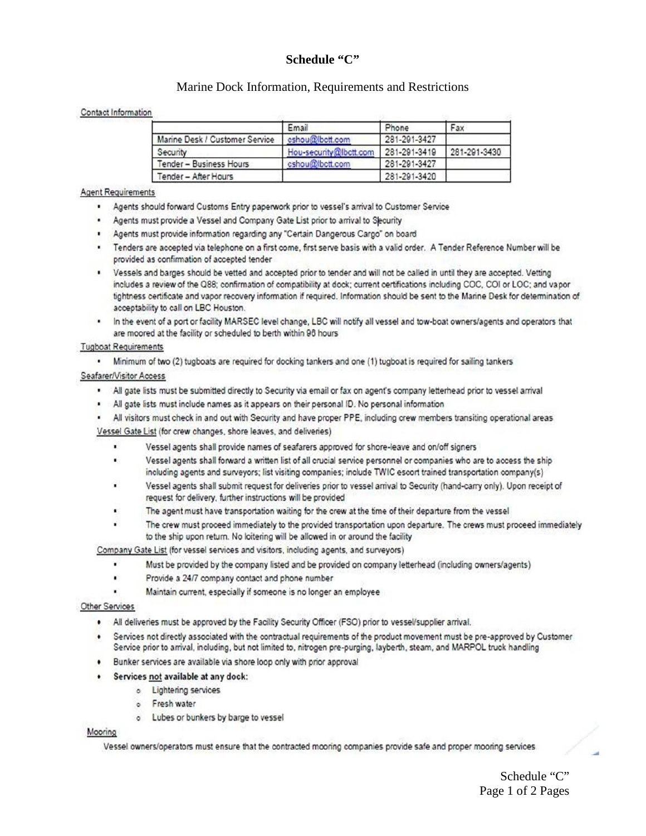### **Schedule "C"**

### Marine Dock Information, Requirements and Restrictions

#### Contact Information

|                                | Email                  | Phone        | Fax          |
|--------------------------------|------------------------|--------------|--------------|
| Marine Desk / Customer Service | cshou@bctt.com         | 281-291-3427 |              |
| Security                       | Hou-security@lbctt.com | 281-291-3419 | 281-291-3430 |
| Tender - Business Hours        | cshou@lbctt.com        | 281-291-3427 |              |
| Tender - After Hours           |                        | 281-291-3420 |              |

#### **Agent Requirements**

- . Agents should forward Customs Entry paperwork prior to vessel's arrival to Customer Service
- . Agents must provide a Vessel and Company Gate List prior to arrival to Slecurity
- . Agents must provide information regarding any "Certain Dangerous Cargo" on board
- . Tenders are accepted via telephone on a first come, first serve basis with a valid order. A Tender Reference Number will be provided as confirmation of accepted tender
- . Vessels and barges should be vetted and accepted prior to tender and will not be called in until they are accepted. Vetting includes a review of the Q88; confirmation of compatibility at dock; current certifications including COC, COI or LOC; and vapor tightness certificate and vapor recovery information if required. Information should be sent to the Marine Desk for determination of acceptability to call on LBC Houston.
- In the event of a port or facility MARSEC level change, LBC will notify all vessel and tow-boat owners/agents and operators that are moored at the facility or scheduled to berth within 96 hours

#### **Tugboat Requirements**

. Minimum of two (2) tugboats are required for docking tankers and one (1) tugboat is required for sailing tankers

#### Seafarer/Visitor Access

- . All gate lists must be submitted directly to Security via email or fax on agent's company letterhead prior to vessel arrival
- . All gate lists must include names as it appears on their personal ID. No personal information

. All visitors must check in and out with Security and have proper PPE, including crew members transiting operational areas Vessel Gate List (for crew changes, shore leaves, and deliveries)

- Vessel agents shall provide names of seafarers approved for shore-leave and on/off signers
- Vessel agents shall forward a written list of all crucial service personnel or companies who are to access the ship including agents and surveyors; list visiting companies; include TWIC escort trained transportation company(s)
- Vessel agents shall submit request for deliveries prior to vessel arrival to Security (hand-carry only). Upon receipt of request for delivery, further instructions will be provided
- The agent must have transportation waiting for the crew at the time of their departure from the vessel
- The crew must proceed immediately to the provided transportation upon departure. The crews must proceed immediately to the ship upon return. No loitering will be allowed in or around the facility

Company Gate List (for vessel services and visitors, including agents, and surveyors)

- Must be provided by the company listed and be provided on company letterhead (including owners/agents)
- Provide a 24/7 company contact and phone number
- Maintain current, especially if someone is no longer an employee

#### Other Services

- . All deliveries must be approved by the Facility Security Officer (FSO) prior to vessel/supplier arrival.
- Services not directly associated with the contractual requirements of the product movement must be pre-approved by Customer Service prior to arrival, including, but not limited to, nitrogen pre-purging, layberth, steam, and MARPOL truck handling
- Bunker services are available via shore loop only with prior approval
	- Services not available at any dock:
		- o Lightering services
		- o Fresh water
		- o Lubes or bunkers by barge to vessel

#### Mooring

Vessel owners/operators must ensure that the contracted mooring companies provide safe and proper mooring services

Schedule "C" Page 1 of 2 Pages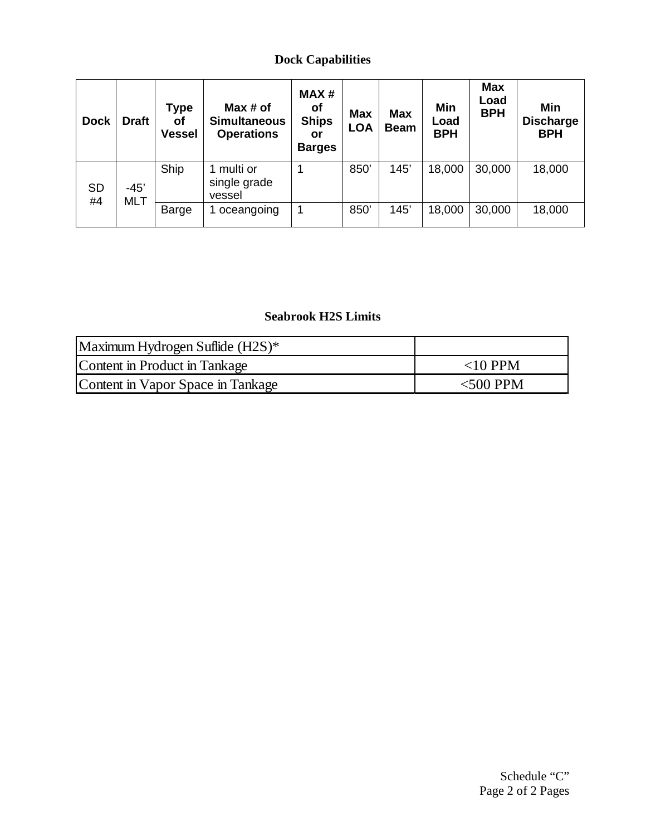# **Dock Capabilities**

| <b>Dock</b>     | <b>Draft</b>         | Type<br>Οf<br><b>Vessel</b> | Max# of<br><b>Simultaneous</b><br><b>Operations</b> | MAX#<br>оf<br><b>Ships</b><br>or<br><b>Barges</b> | <b>Max</b><br><b>LOA</b> | <b>Max</b><br><b>Beam</b> | Min<br>Load<br><b>BPH</b> | <b>Max</b><br>Load<br><b>BPH</b> | Min<br><b>Discharge</b><br><b>BPH</b> |
|-----------------|----------------------|-----------------------------|-----------------------------------------------------|---------------------------------------------------|--------------------------|---------------------------|---------------------------|----------------------------------|---------------------------------------|
| <b>SD</b><br>#4 | $-45'$<br><b>MLT</b> | Ship                        | multi or<br>single grade<br>vessel                  |                                                   | 850'                     | 145'                      | 18,000                    | 30,000                           | 18,000                                |
|                 |                      | Barge                       | oceangoing                                          |                                                   | 850'                     | 145'                      | 18,000                    | 30,000                           | 18,000                                |

# **Seabrook H2S Limits**

| Maximum Hydrogen Suflide (H2S)*   |             |
|-----------------------------------|-------------|
| Content in Product in Tankage     | $<$ 10 PPM  |
| Content in Vapor Space in Tankage | $<$ 500 PPM |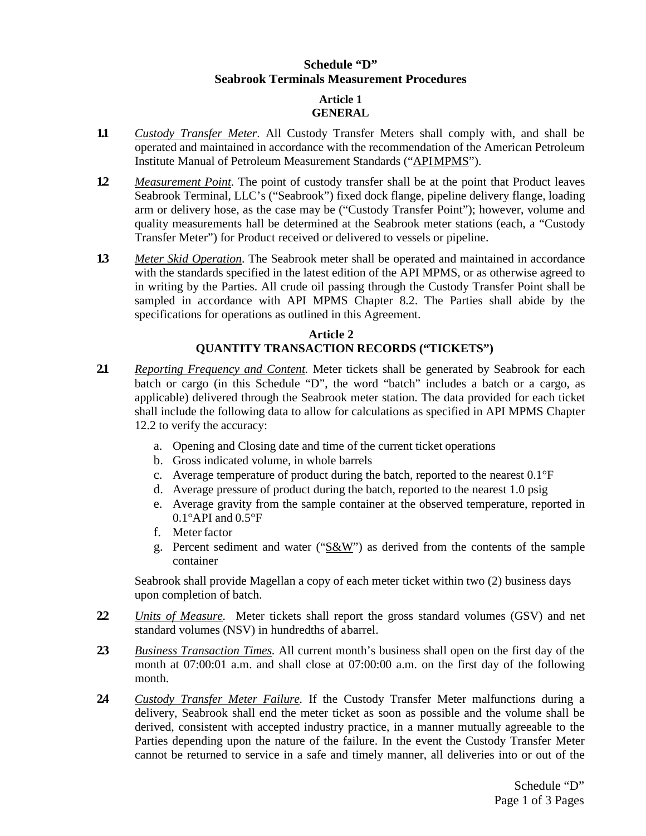# **Schedule "D" Seabrook Terminals Measurement Procedures**

### **Article 1 GENERAL**

- **1.1** *Custody Transfer Meter*. All Custody Transfer Meters shall comply with, and shall be operated and maintained in accordance with the recommendation of the American Petroleum Institute Manual of Petroleum Measurement Standards ("APIMPMS").
- **1.2** *Measurement Point*. The point of custody transfer shall be at the point that Product leaves Seabrook Terminal, LLC's ("Seabrook") fixed dock flange, pipeline delivery flange, loading arm or delivery hose, as the case may be ("Custody Transfer Point"); however, volume and quality measurements hall be determined at the Seabrook meter stations (each, a "Custody Transfer Meter") for Product received or delivered to vessels or pipeline.
- **1.3** *Meter Skid Operation*. The Seabrook meter shall be operated and maintained in accordance with the standards specified in the latest edition of the API MPMS, or as otherwise agreed to in writing by the Parties. All crude oil passing through the Custody Transfer Point shall be sampled in accordance with API MPMS Chapter 8.2. The Parties shall abide by the specifications for operations as outlined in this Agreement.

# **Article 2 QUANTITY TRANSACTION RECORDS ("TICKETS")**

- **2.1** *Reporting Frequency and Content.* Meter tickets shall be generated by Seabrook for each batch or cargo (in this Schedule "D", the word "batch" includes a batch or a cargo, as applicable) delivered through the Seabrook meter station. The data provided for each ticket shall include the following data to allow for calculations as specified in API MPMS Chapter 12.2 to verify the accuracy:
	- a. Opening and Closing date and time of the current ticket operations
	- b. Gross indicated volume, in whole barrels
	- c. Average temperature of product during the batch, reported to the nearest 0.1°F
	- d. Average pressure of product during the batch, reported to the nearest 1.0 psig
	- e. Average gravity from the sample container at the observed temperature, reported in 0.1°API and 0.5°F
	- f. Meter factor
	- g. Percent sediment and water ("S&W") as derived from the contents of the sample container

Seabrook shall provide Magellan a copy of each meter ticket within two (2) business days upon completion of batch.

- **2.2** *Units of Measure.* Meter tickets shall report the gross standard volumes (GSV) and net standard volumes (NSV) in hundredths of abarrel.
- **2.3** *Business Transaction Times.* All current month's business shall open on the first day of the month at 07:00:01 a.m. and shall close at 07:00:00 a.m. on the first day of the following month.
- **2.4** *Custody Transfer Meter Failure.* If the Custody Transfer Meter malfunctions during a delivery, Seabrook shall end the meter ticket as soon as possible and the volume shall be derived, consistent with accepted industry practice, in a manner mutually agreeable to the Parties depending upon the nature of the failure. In the event the Custody Transfer Meter cannot be returned to service in a safe and timely manner, all deliveries into or out of the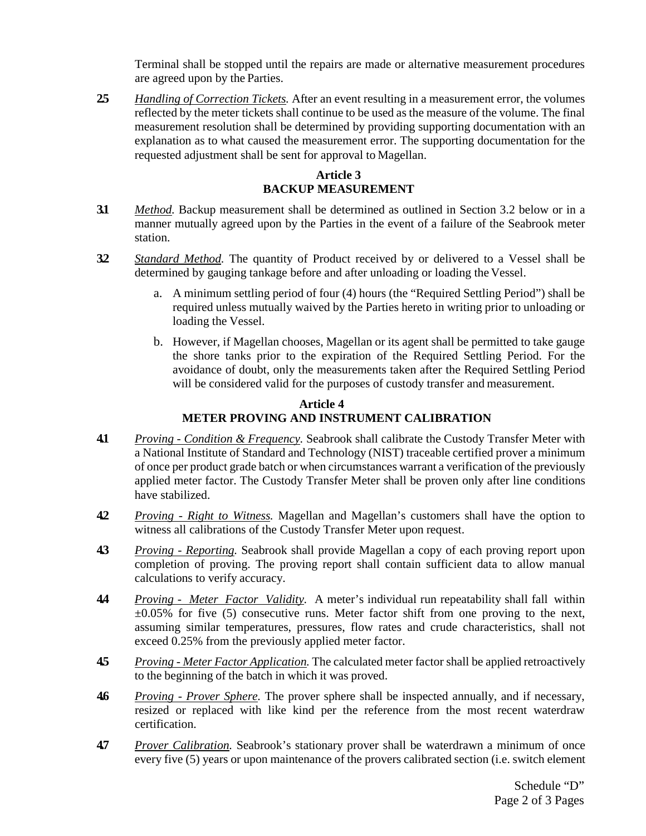Terminal shall be stopped until the repairs are made or alternative measurement procedures are agreed upon by the Parties.

**2.5** *Handling of Correction Tickets.* After an event resulting in a measurement error, the volumes reflected by the meter tickets shall continue to be used as the measure of the volume. The final measurement resolution shall be determined by providing supporting documentation with an explanation as to what caused the measurement error. The supporting documentation for the requested adjustment shall be sent for approval to Magellan.

# **Article 3 BACKUP MEASUREMENT**

- **3.1** *Method.* Backup measurement shall be determined as outlined in Section 3.2 below or in a manner mutually agreed upon by the Parties in the event of a failure of the Seabrook meter station.
- **3.2** *Standard Method.* The quantity of Product received by or delivered to a Vessel shall be determined by gauging tankage before and after unloading or loading the Vessel.
	- a. A minimum settling period of four (4) hours (the "Required Settling Period") shall be required unless mutually waived by the Parties hereto in writing prior to unloading or loading the Vessel.
	- b. However, if Magellan chooses, Magellan or its agent shall be permitted to take gauge the shore tanks prior to the expiration of the Required Settling Period. For the avoidance of doubt, only the measurements taken after the Required Settling Period will be considered valid for the purposes of custody transfer and measurement.

### **Article 4 METER PROVING AND INSTRUMENT CALIBRATION**

- **4.1** *Proving - Condition & Frequency.* Seabrook shall calibrate the Custody Transfer Meter with a National Institute of Standard and Technology (NIST) traceable certified prover a minimum of once per product grade batch or when circumstances warrant a verification of the previously applied meter factor. The Custody Transfer Meter shall be proven only after line conditions have stabilized.
- **4.2** *Proving - Right to Witness.* Magellan and Magellan's customers shall have the option to witness all calibrations of the Custody Transfer Meter upon request.
- **4.3** *Proving - Reporting.* Seabrook shall provide Magellan a copy of each proving report upon completion of proving. The proving report shall contain sufficient data to allow manual calculations to verify accuracy.
- **4.4** *Proving Meter Factor Validity.* A meter's individual run repeatability shall fall within  $\pm 0.05\%$  for five (5) consecutive runs. Meter factor shift from one proving to the next, assuming similar temperatures, pressures, flow rates and crude characteristics, shall not exceed 0.25% from the previously applied meter factor.
- **4.5** *Proving - Meter Factor Application.* The calculated meter factor shall be applied retroactively to the beginning of the batch in which it was proved.
- **4.6** *Proving - Prover Sphere.* The prover sphere shall be inspected annually, and if necessary, resized or replaced with like kind per the reference from the most recent waterdraw certification.
- **4.7** *Prover Calibration.* Seabrook's stationary prover shall be waterdrawn a minimum of once every five (5) years or upon maintenance of the provers calibrated section (i.e. switch element